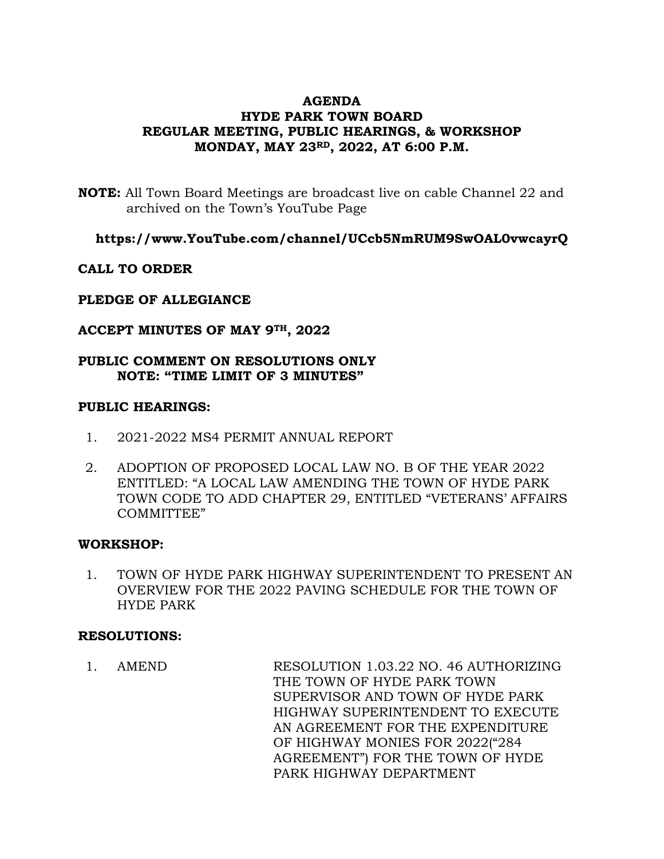# **AGENDA HYDE PARK TOWN BOARD REGULAR MEETING, PUBLIC HEARINGS, & WORKSHOP MONDAY, MAY 23RD, 2022, AT 6:00 P.M.**

**NOTE:** All Town Board Meetings are broadcast live on cable Channel 22 and archived on the Town's YouTube Page

**https://www.YouTube.com/channel/UCcb5NmRUM9SwOAL0vwcayrQ**

## **CALL TO ORDER**

## **PLEDGE OF ALLEGIANCE**

## **ACCEPT MINUTES OF MAY 9TH, 2022**

# **PUBLIC COMMENT ON RESOLUTIONS ONLY NOTE: "TIME LIMIT OF 3 MINUTES"**

### **PUBLIC HEARINGS:**

- 1. 2021-2022 MS4 PERMIT ANNUAL REPORT
- 2. ADOPTION OF PROPOSED LOCAL LAW NO. B OF THE YEAR 2022 ENTITLED: "A LOCAL LAW AMENDING THE TOWN OF HYDE PARK TOWN CODE TO ADD CHAPTER 29, ENTITLED "VETERANS' AFFAIRS COMMITTEE"

## **WORKSHOP:**

1. TOWN OF HYDE PARK HIGHWAY SUPERINTENDENT TO PRESENT AN OVERVIEW FOR THE 2022 PAVING SCHEDULE FOR THE TOWN OF HYDE PARK

## **RESOLUTIONS:**

1. AMEND RESOLUTION 1.03.22 NO. 46 AUTHORIZING THE TOWN OF HYDE PARK TOWN SUPERVISOR AND TOWN OF HYDE PARK HIGHWAY SUPERINTENDENT TO EXECUTE AN AGREEMENT FOR THE EXPENDITURE OF HIGHWAY MONIES FOR 2022("284 AGREEMENT") FOR THE TOWN OF HYDE PARK HIGHWAY DEPARTMENT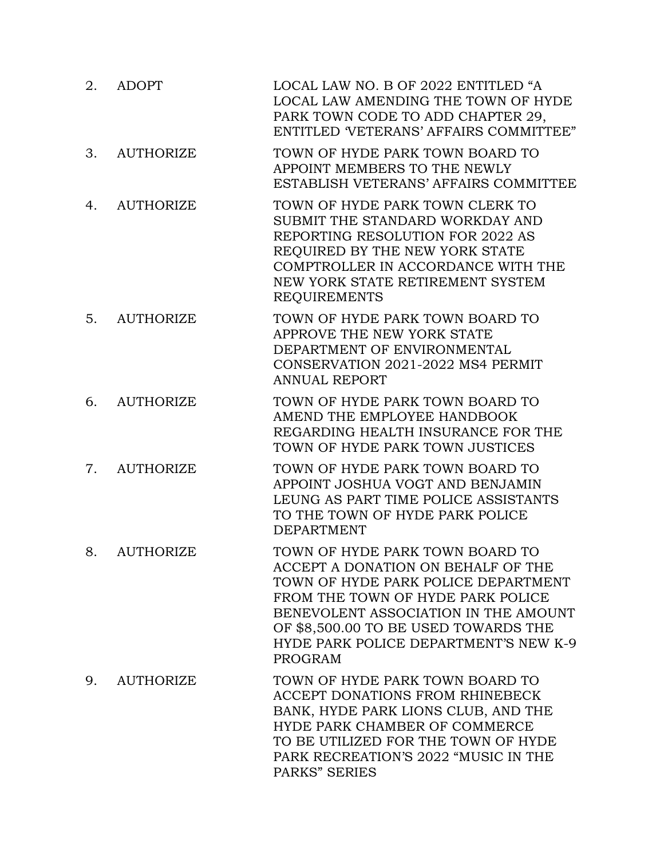| 2. | <b>ADOPT</b>     | LOCAL LAW NO. B OF 2022 ENTITLED "A<br>LOCAL LAW AMENDING THE TOWN OF HYDE<br>PARK TOWN CODE TO ADD CHAPTER 29,<br>ENTITLED VETERANS' AFFAIRS COMMITTEE"                                                                                                                                     |
|----|------------------|----------------------------------------------------------------------------------------------------------------------------------------------------------------------------------------------------------------------------------------------------------------------------------------------|
| 3. | <b>AUTHORIZE</b> | TOWN OF HYDE PARK TOWN BOARD TO<br>APPOINT MEMBERS TO THE NEWLY<br>ESTABLISH VETERANS' AFFAIRS COMMITTEE                                                                                                                                                                                     |
| 4. | <b>AUTHORIZE</b> | TOWN OF HYDE PARK TOWN CLERK TO<br>SUBMIT THE STANDARD WORKDAY AND<br>REPORTING RESOLUTION FOR 2022 AS<br>REQUIRED BY THE NEW YORK STATE<br>COMPTROLLER IN ACCORDANCE WITH THE<br>NEW YORK STATE RETIREMENT SYSTEM<br><b>REQUIREMENTS</b>                                                    |
| 5. | <b>AUTHORIZE</b> | TOWN OF HYDE PARK TOWN BOARD TO<br>APPROVE THE NEW YORK STATE<br>DEPARTMENT OF ENVIRONMENTAL<br>CONSERVATION 2021-2022 MS4 PERMIT<br><b>ANNUAL REPORT</b>                                                                                                                                    |
| 6. | <b>AUTHORIZE</b> | TOWN OF HYDE PARK TOWN BOARD TO<br>AMEND THE EMPLOYEE HANDBOOK<br>REGARDING HEALTH INSURANCE FOR THE<br>TOWN OF HYDE PARK TOWN JUSTICES                                                                                                                                                      |
| 7. | <b>AUTHORIZE</b> | TOWN OF HYDE PARK TOWN BOARD TO<br>APPOINT JOSHUA VOGT AND BENJAMIN<br>LEUNG AS PART TIME POLICE ASSISTANTS<br>TO THE TOWN OF HYDE PARK POLICE<br><b>DEPARTMENT</b>                                                                                                                          |
| 8. | <b>AUTHORIZE</b> | TOWN OF HYDE PARK TOWN BOARD TO<br>ACCEPT A DONATION ON BEHALF OF THE<br>TOWN OF HYDE PARK POLICE DEPARTMENT<br>FROM THE TOWN OF HYDE PARK POLICE<br>BENEVOLENT ASSOCIATION IN THE AMOUNT<br>OF \$8,500.00 TO BE USED TOWARDS THE<br>HYDE PARK POLICE DEPARTMENT'S NEW K-9<br><b>PROGRAM</b> |
| 9. | <b>AUTHORIZE</b> | TOWN OF HYDE PARK TOWN BOARD TO<br>ACCEPT DONATIONS FROM RHINEBECK<br>BANK, HYDE PARK LIONS CLUB, AND THE<br>HYDE PARK CHAMBER OF COMMERCE<br>TO BE UTILIZED FOR THE TOWN OF HYDE<br>PARK RECREATION'S 2022 "MUSIC IN THE<br>PARKS" SERIES                                                   |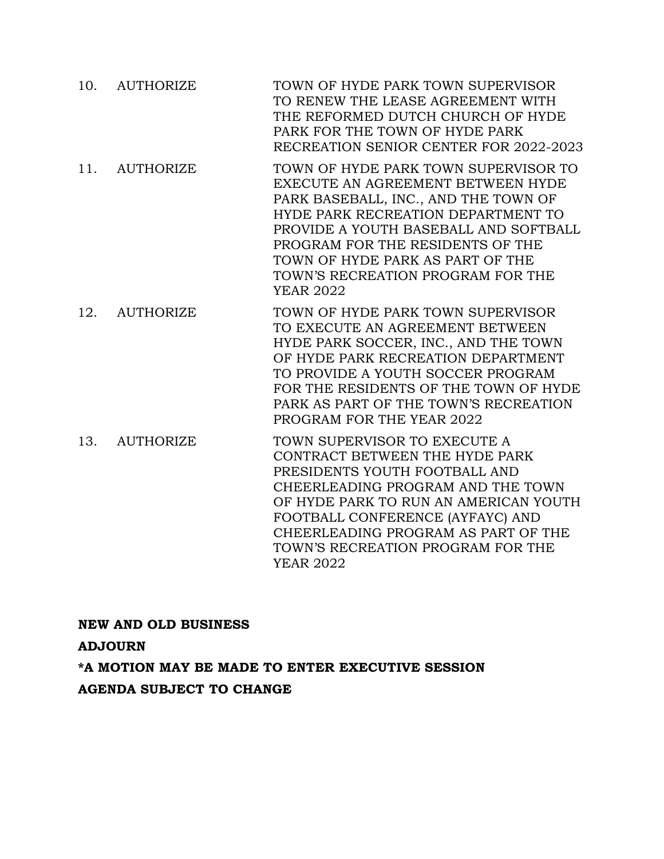|     | 10. AUTHORIZE    | TOWN OF HYDE PARK TOWN SUPERVISOR<br>TO RENEW THE LEASE AGREEMENT WITH<br>THE REFORMED DUTCH CHURCH OF HYDE<br>PARK FOR THE TOWN OF HYDE PARK<br>RECREATION SENIOR CENTER FOR 2022-2023                                                                                                                                           |
|-----|------------------|-----------------------------------------------------------------------------------------------------------------------------------------------------------------------------------------------------------------------------------------------------------------------------------------------------------------------------------|
|     | 11. AUTHORIZE    | TOWN OF HYDE PARK TOWN SUPERVISOR TO<br>EXECUTE AN AGREEMENT BETWEEN HYDE<br>PARK BASEBALL, INC., AND THE TOWN OF<br>HYDE PARK RECREATION DEPARTMENT TO<br>PROVIDE A YOUTH BASEBALL AND SOFTBALL<br>PROGRAM FOR THE RESIDENTS OF THE<br>TOWN OF HYDE PARK AS PART OF THE<br>TOWN'S RECREATION PROGRAM FOR THE<br><b>YEAR 2022</b> |
| 12. | <b>AUTHORIZE</b> | TOWN OF HYDE PARK TOWN SUPERVISOR<br>TO EXECUTE AN AGREEMENT BETWEEN<br>HYDE PARK SOCCER, INC., AND THE TOWN<br>OF HYDE PARK RECREATION DEPARTMENT<br>TO PROVIDE A YOUTH SOCCER PROGRAM<br>FOR THE RESIDENTS OF THE TOWN OF HYDE<br>PARK AS PART OF THE TOWN'S RECREATION<br>PROGRAM FOR THE YEAR 2022                            |
| 13. | <b>AUTHORIZE</b> | TOWN SUPERVISOR TO EXECUTE A<br>CONTRACT BETWEEN THE HYDE PARK<br>PRESIDENTS YOUTH FOOTBALL AND<br>CHEERLEADING PROGRAM AND THE TOWN<br>OF HYDE PARK TO RUN AN AMERICAN YOUTH<br>FOOTBALL CONFERENCE (AYFAYC) AND                                                                                                                 |

CHEERLEADING PROGRAM AS PART OF THE TOWN'S RECREATION PROGRAM FOR THE

**NEW AND OLD BUSINESS ADJOURN \*A MOTION MAY BE MADE TO ENTER EXECUTIVE SESSION AGENDA SUBJECT TO CHANGE**

YEAR 2022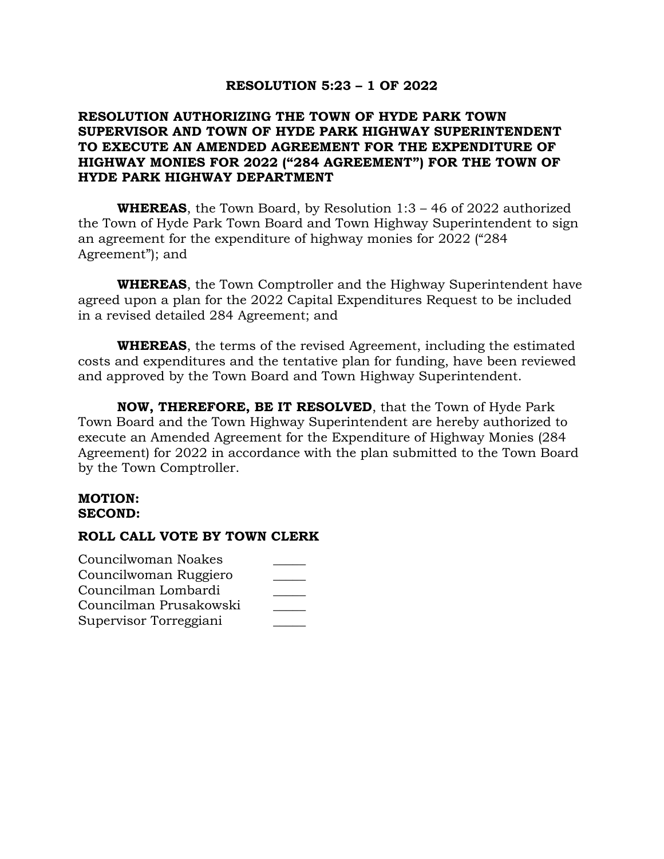## **RESOLUTION 5:23 – 1 OF 2022**

# **RESOLUTION AUTHORIZING THE TOWN OF HYDE PARK TOWN SUPERVISOR AND TOWN OF HYDE PARK HIGHWAY SUPERINTENDENT TO EXECUTE AN AMENDED AGREEMENT FOR THE EXPENDITURE OF HIGHWAY MONIES FOR 2022 ("284 AGREEMENT") FOR THE TOWN OF HYDE PARK HIGHWAY DEPARTMENT**

**WHEREAS**, the Town Board, by Resolution 1:3 – 46 of 2022 authorized the Town of Hyde Park Town Board and Town Highway Superintendent to sign an agreement for the expenditure of highway monies for 2022 ("284 Agreement"); and

**WHEREAS**, the Town Comptroller and the Highway Superintendent have agreed upon a plan for the 2022 Capital Expenditures Request to be included in a revised detailed 284 Agreement; and

**WHEREAS**, the terms of the revised Agreement, including the estimated costs and expenditures and the tentative plan for funding, have been reviewed and approved by the Town Board and Town Highway Superintendent.

**NOW, THEREFORE, BE IT RESOLVED**, that the Town of Hyde Park Town Board and the Town Highway Superintendent are hereby authorized to execute an Amended Agreement for the Expenditure of Highway Monies (284 Agreement) for 2022 in accordance with the plan submitted to the Town Board by the Town Comptroller.

### **MOTION: SECOND:**

| Councilwoman Noakes    |  |
|------------------------|--|
| Councilwoman Ruggiero  |  |
| Councilman Lombardi    |  |
| Councilman Prusakowski |  |
| Supervisor Torreggiani |  |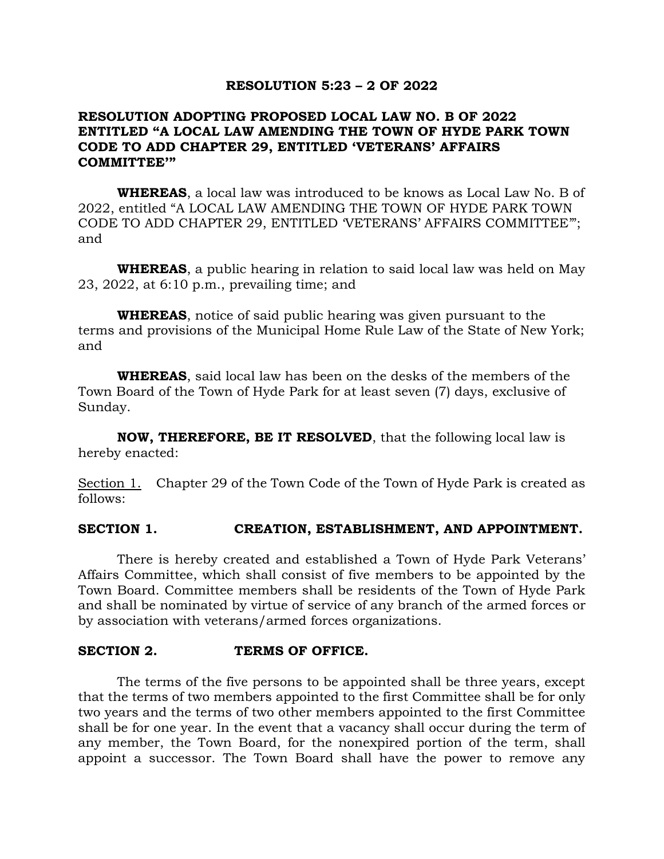### **RESOLUTION 5:23 – 2 OF 2022**

# **RESOLUTION ADOPTING PROPOSED LOCAL LAW NO. B OF 2022 ENTITLED "A LOCAL LAW AMENDING THE TOWN OF HYDE PARK TOWN CODE TO ADD CHAPTER 29, ENTITLED 'VETERANS' AFFAIRS COMMITTEE'"**

**WHEREAS**, a local law was introduced to be knows as Local Law No. B of 2022, entitled "A LOCAL LAW AMENDING THE TOWN OF HYDE PARK TOWN CODE TO ADD CHAPTER 29, ENTITLED 'VETERANS' AFFAIRS COMMITTEE'"; and

**WHEREAS**, a public hearing in relation to said local law was held on May 23, 2022, at 6:10 p.m., prevailing time; and

**WHEREAS**, notice of said public hearing was given pursuant to the terms and provisions of the Municipal Home Rule Law of the State of New York; and

**WHEREAS**, said local law has been on the desks of the members of the Town Board of the Town of Hyde Park for at least seven (7) days, exclusive of Sunday.

**NOW, THEREFORE, BE IT RESOLVED**, that the following local law is hereby enacted:

Section 1. Chapter 29 of the Town Code of the Town of Hyde Park is created as follows:

## **SECTION 1. CREATION, ESTABLISHMENT, AND APPOINTMENT.**

There is hereby created and established a Town of Hyde Park Veterans' Affairs Committee, which shall consist of five members to be appointed by the Town Board. Committee members shall be residents of the Town of Hyde Park and shall be nominated by virtue of service of any branch of the armed forces or by association with veterans/armed forces organizations.

### **SECTION 2. TERMS OF OFFICE.**

The terms of the five persons to be appointed shall be three years, except that the terms of two members appointed to the first Committee shall be for only two years and the terms of two other members appointed to the first Committee shall be for one year. In the event that a vacancy shall occur during the term of any member, the Town Board, for the nonexpired portion of the term, shall appoint a successor. The Town Board shall have the power to remove any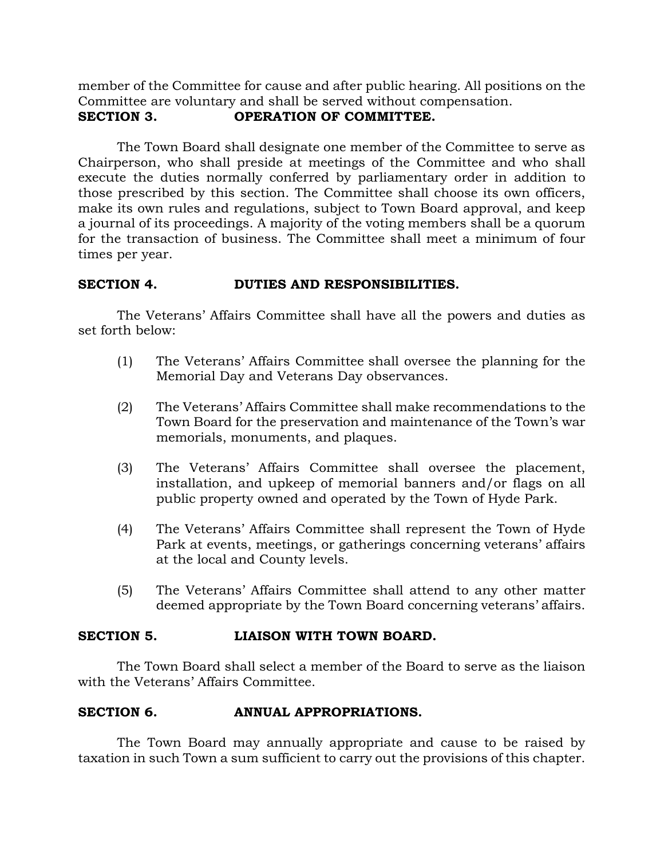member of the Committee for cause and after public hearing. All positions on the Committee are voluntary and shall be served without compensation. **SECTION 3. OPERATION OF COMMITTEE.**

The Town Board shall designate one member of the Committee to serve as Chairperson, who shall preside at meetings of the Committee and who shall execute the duties normally conferred by parliamentary order in addition to those prescribed by this section. The Committee shall choose its own officers, make its own rules and regulations, subject to Town Board approval, and keep a journal of its proceedings. A majority of the voting members shall be a quorum for the transaction of business. The Committee shall meet a minimum of four times per year.

# **SECTION 4. DUTIES AND RESPONSIBILITIES.**

The Veterans' Affairs Committee shall have all the powers and duties as set forth below:

- (1) The Veterans' Affairs Committee shall oversee the planning for the Memorial Day and Veterans Day observances.
- (2) The Veterans' Affairs Committee shall make recommendations to the Town Board for the preservation and maintenance of the Town's war memorials, monuments, and plaques.
- (3) The Veterans' Affairs Committee shall oversee the placement, installation, and upkeep of memorial banners and/or flags on all public property owned and operated by the Town of Hyde Park.
- (4) The Veterans' Affairs Committee shall represent the Town of Hyde Park at events, meetings, or gatherings concerning veterans' affairs at the local and County levels.
- (5) The Veterans' Affairs Committee shall attend to any other matter deemed appropriate by the Town Board concerning veterans' affairs.

# **SECTION 5. LIAISON WITH TOWN BOARD.**

The Town Board shall select a member of the Board to serve as the liaison with the Veterans' Affairs Committee.

# **SECTION 6. ANNUAL APPROPRIATIONS.**

The Town Board may annually appropriate and cause to be raised by taxation in such Town a sum sufficient to carry out the provisions of this chapter.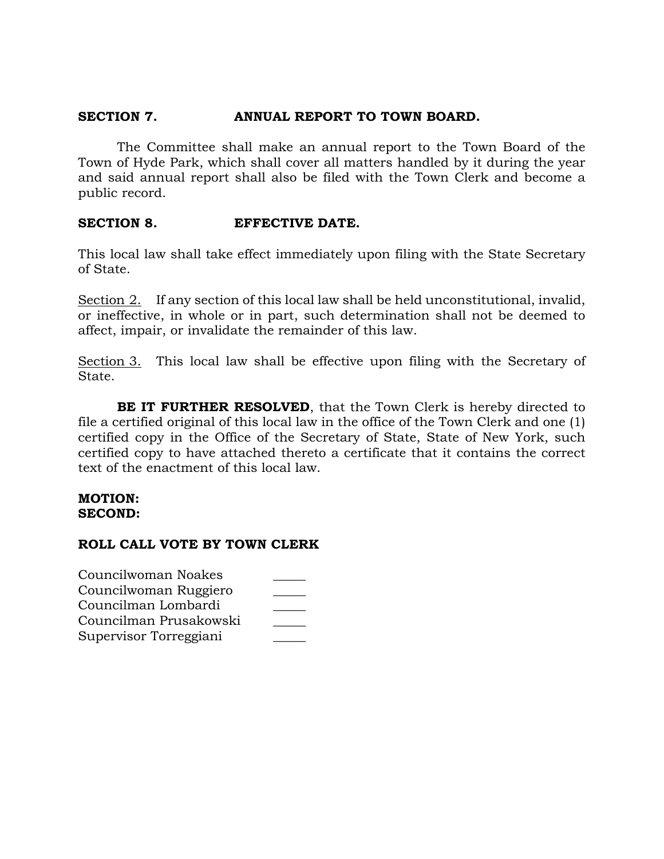# **SECTION 7. ANNUAL REPORT TO TOWN BOARD.**

The Committee shall make an annual report to the Town Board of the Town of Hyde Park, which shall cover all matters handled by it during the year and said annual report shall also be filed with the Town Clerk and become a public record.

# **SECTION 8. EFFECTIVE DATE.**

This local law shall take effect immediately upon filing with the State Secretary of State.

Section 2. If any section of this local law shall be held unconstitutional, invalid, or ineffective, in whole or in part, such determination shall not be deemed to affect, impair, or invalidate the remainder of this law.

Section 3. This local law shall be effective upon filing with the Secretary of State.

**BE IT FURTHER RESOLVED**, that the Town Clerk is hereby directed to file a certified original of this local law in the office of the Town Clerk and one (1) certified copy in the Office of the Secretary of State, State of New York, such certified copy to have attached thereto a certificate that it contains the correct text of the enactment of this local law.

### **MOTION: SECOND:**

| Councilwoman Noakes    |  |
|------------------------|--|
| Councilwoman Ruggiero  |  |
| Councilman Lombardi    |  |
| Councilman Prusakowski |  |
| Supervisor Torreggiani |  |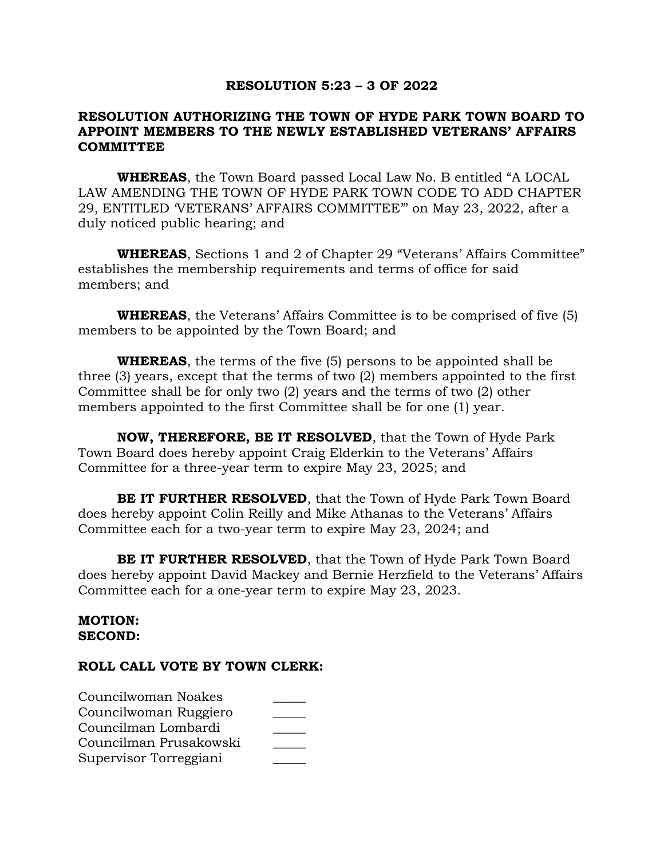### **RESOLUTION 5:23 – 3 OF 2022**

# **RESOLUTION AUTHORIZING THE TOWN OF HYDE PARK TOWN BOARD TO APPOINT MEMBERS TO THE NEWLY ESTABLISHED VETERANS' AFFAIRS COMMITTEE**

**WHEREAS**, the Town Board passed Local Law No. B entitled "A LOCAL LAW AMENDING THE TOWN OF HYDE PARK TOWN CODE TO ADD CHAPTER 29, ENTITLED 'VETERANS' AFFAIRS COMMITTEE'" on May 23, 2022, after a duly noticed public hearing; and

**WHEREAS**, Sections 1 and 2 of Chapter 29 "Veterans' Affairs Committee" establishes the membership requirements and terms of office for said members; and

**WHEREAS**, the Veterans' Affairs Committee is to be comprised of five (5) members to be appointed by the Town Board; and

**WHEREAS**, the terms of the five (5) persons to be appointed shall be three (3) years, except that the terms of two (2) members appointed to the first Committee shall be for only two (2) years and the terms of two (2) other members appointed to the first Committee shall be for one (1) year.

**NOW, THEREFORE, BE IT RESOLVED**, that the Town of Hyde Park Town Board does hereby appoint Craig Elderkin to the Veterans' Affairs Committee for a three-year term to expire May 23, 2025; and

**BE IT FURTHER RESOLVED**, that the Town of Hyde Park Town Board does hereby appoint Colin Reilly and Mike Athanas to the Veterans' Affairs Committee each for a two-year term to expire May 23, 2024; and

**BE IT FURTHER RESOLVED**, that the Town of Hyde Park Town Board does hereby appoint David Mackey and Bernie Herzfield to the Veterans' Affairs Committee each for a one-year term to expire May 23, 2023.

## **MOTION: SECOND:**

| Councilwoman Noakes    |  |
|------------------------|--|
| Councilwoman Ruggiero  |  |
| Councilman Lombardi    |  |
| Councilman Prusakowski |  |
| Supervisor Torreggiani |  |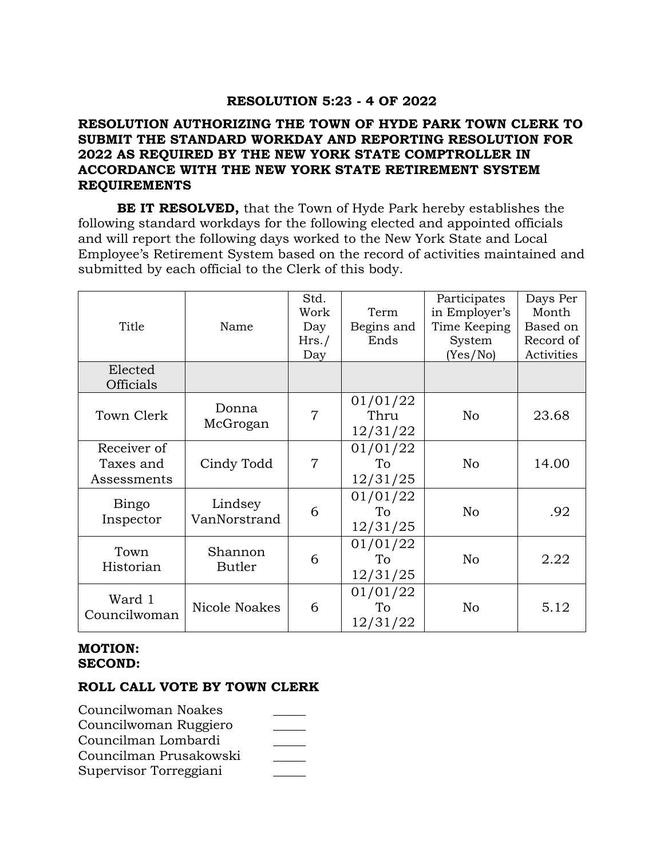# **RESOLUTION 5:23 - 4 OF 2022**

# **RESOLUTION AUTHORIZING THE TOWN OF HYDE PARK TOWN CLERK TO SUBMIT THE STANDARD WORKDAY AND REPORTING RESOLUTION FOR 2022 AS REQUIRED BY THE NEW YORK STATE COMPTROLLER IN ACCORDANCE WITH THE NEW YORK STATE RETIREMENT SYSTEM REQUIREMENTS**

**BE IT RESOLVED,** that the Town of Hyde Park hereby establishes the following standard workdays for the following elected and appointed officials and will report the following days worked to the New York State and Local Employee's Retirement System based on the record of activities maintained and submitted by each official to the Clerk of this body.

|              |                         | Std.<br>Work   | Term       | Participates<br>in Employer's | Days Per<br>Month |
|--------------|-------------------------|----------------|------------|-------------------------------|-------------------|
| Title        | Name                    | Day            | Begins and | Time Keeping                  | Based on          |
|              |                         | Hrs./          | Ends       | System                        | Record of         |
|              |                         | Day            |            | (Yes/No)                      | Activities        |
| Elected      |                         |                |            |                               |                   |
| Officials    |                         |                |            |                               |                   |
|              |                         |                | 01/01/22   |                               |                   |
| Town Clerk   | Donna                   | $\overline{7}$ | Thru       | No                            | 23.68             |
|              | McGrogan                |                | 12/31/22   |                               |                   |
| Receiver of  |                         |                | 01/01/22   |                               |                   |
| Taxes and    | Cindy Todd              | $\overline{7}$ | To         | No                            | 14.00             |
| Assessments  |                         |                | 12/31/25   |                               |                   |
|              |                         |                | 01/01/22   |                               |                   |
| Bingo        | Lindsey<br>VanNorstrand | 6              | To         | No                            | .92               |
| Inspector    |                         |                | 12/31/25   |                               |                   |
| Town         | Shannon                 |                | 01/01/22   |                               |                   |
| Historian    | <b>Butler</b>           | 6              | To         | No                            | 2.22              |
|              |                         |                | 12/31/25   |                               |                   |
| Ward 1       |                         |                | 01/01/22   |                               |                   |
| Councilwoman | <b>Nicole Noakes</b>    | 6              | To         | No                            | 5.12              |
|              |                         |                | 12/31/22   |                               |                   |

# **MOTION: SECOND:**

| Councilwoman Noakes    |  |
|------------------------|--|
| Councilwoman Ruggiero  |  |
| Councilman Lombardi    |  |
| Councilman Prusakowski |  |
| Supervisor Torreggiani |  |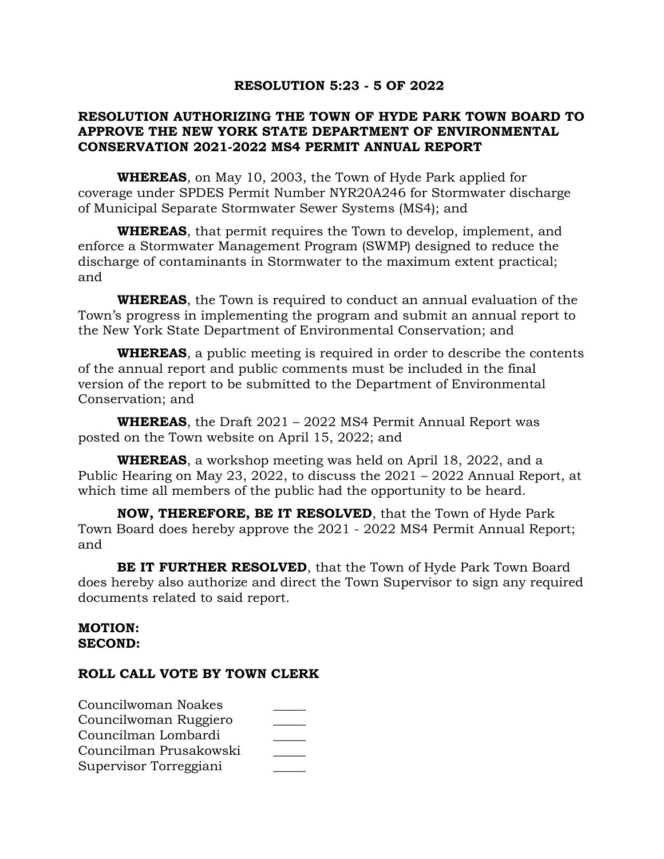# **RESOLUTION 5:23 - 5 OF 2022**

# **RESOLUTION AUTHORIZING THE TOWN OF HYDE PARK TOWN BOARD TO APPROVE THE NEW YORK STATE DEPARTMENT OF ENVIRONMENTAL CONSERVATION 2021-2022 MS4 PERMIT ANNUAL REPORT**

**WHEREAS**, on May 10, 2003, the Town of Hyde Park applied for coverage under SPDES Permit Number NYR20A246 for Stormwater discharge of Municipal Separate Stormwater Sewer Systems (MS4); and

**WHEREAS**, that permit requires the Town to develop, implement, and enforce a Stormwater Management Program (SWMP) designed to reduce the discharge of contaminants in Stormwater to the maximum extent practical; and

**WHEREAS**, the Town is required to conduct an annual evaluation of the Town's progress in implementing the program and submit an annual report to the New York State Department of Environmental Conservation; and

**WHEREAS**, a public meeting is required in order to describe the contents of the annual report and public comments must be included in the final version of the report to be submitted to the Department of Environmental Conservation; and

**WHEREAS**, the Draft 2021 – 2022 MS4 Permit Annual Report was posted on the Town website on April 15, 2022; and

**WHEREAS**, a workshop meeting was held on April 18, 2022, and a Public Hearing on May 23, 2022, to discuss the 2021 – 2022 Annual Report, at which time all members of the public had the opportunity to be heard.

**NOW, THEREFORE, BE IT RESOLVED**, that the Town of Hyde Park Town Board does hereby approve the 2021 - 2022 MS4 Permit Annual Report; and

**BE IT FURTHER RESOLVED**, that the Town of Hyde Park Town Board does hereby also authorize and direct the Town Supervisor to sign any required documents related to said report.

### **MOTION: SECOND:**

| Councilwoman Noakes    |  |
|------------------------|--|
| Councilwoman Ruggiero  |  |
| Councilman Lombardi    |  |
| Councilman Prusakowski |  |
| Supervisor Torreggiani |  |
|                        |  |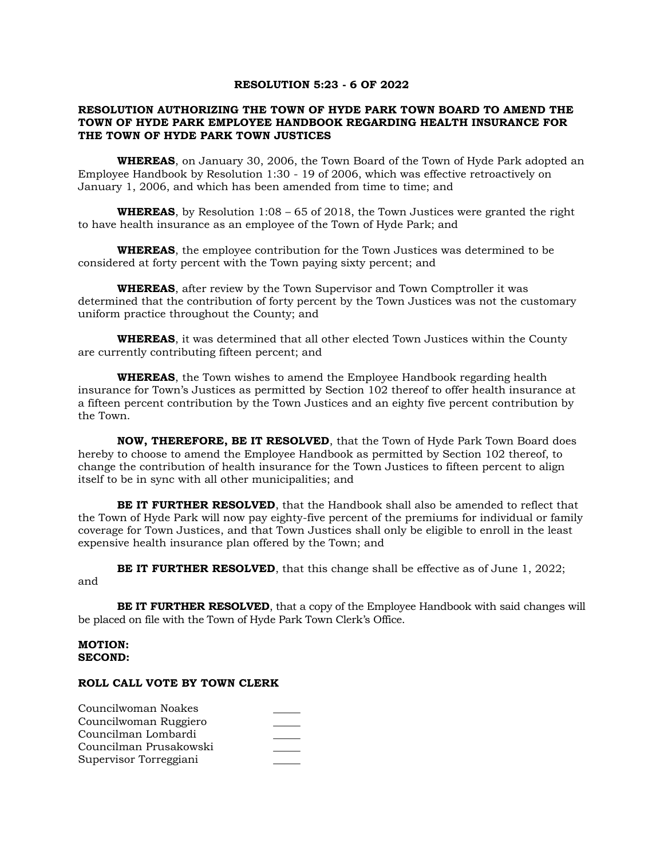#### **RESOLUTION 5:23 - 6 OF 2022**

#### **RESOLUTION AUTHORIZING THE TOWN OF HYDE PARK TOWN BOARD TO AMEND THE TOWN OF HYDE PARK EMPLOYEE HANDBOOK REGARDING HEALTH INSURANCE FOR THE TOWN OF HYDE PARK TOWN JUSTICES**

**WHEREAS**, on January 30, 2006, the Town Board of the Town of Hyde Park adopted an Employee Handbook by Resolution 1:30 - 19 of 2006, which was effective retroactively on January 1, 2006, and which has been amended from time to time; and

**WHEREAS**, by Resolution 1:08 – 65 of 2018, the Town Justices were granted the right to have health insurance as an employee of the Town of Hyde Park; and

**WHEREAS**, the employee contribution for the Town Justices was determined to be considered at forty percent with the Town paying sixty percent; and

**WHEREAS**, after review by the Town Supervisor and Town Comptroller it was determined that the contribution of forty percent by the Town Justices was not the customary uniform practice throughout the County; and

**WHEREAS**, it was determined that all other elected Town Justices within the County are currently contributing fifteen percent; and

**WHEREAS**, the Town wishes to amend the Employee Handbook regarding health insurance for Town's Justices as permitted by Section 102 thereof to offer health insurance at a fifteen percent contribution by the Town Justices and an eighty five percent contribution by the Town.

**NOW, THEREFORE, BE IT RESOLVED**, that the Town of Hyde Park Town Board does hereby to choose to amend the Employee Handbook as permitted by Section 102 thereof, to change the contribution of health insurance for the Town Justices to fifteen percent to align itself to be in sync with all other municipalities; and

**BE IT FURTHER RESOLVED**, that the Handbook shall also be amended to reflect that the Town of Hyde Park will now pay eighty-five percent of the premiums for individual or family coverage for Town Justices, and that Town Justices shall only be eligible to enroll in the least expensive health insurance plan offered by the Town; and

**BE IT FURTHER RESOLVED**, that this change shall be effective as of June 1, 2022;

and

**BE IT FURTHER RESOLVED**, that a copy of the Employee Handbook with said changes will be placed on file with the Town of Hyde Park Town Clerk's Office.

#### **MOTION: SECOND:**

| Councilwoman Noakes    |  |
|------------------------|--|
| Councilwoman Ruggiero  |  |
| Councilman Lombardi    |  |
| Councilman Prusakowski |  |
| Supervisor Torreggiani |  |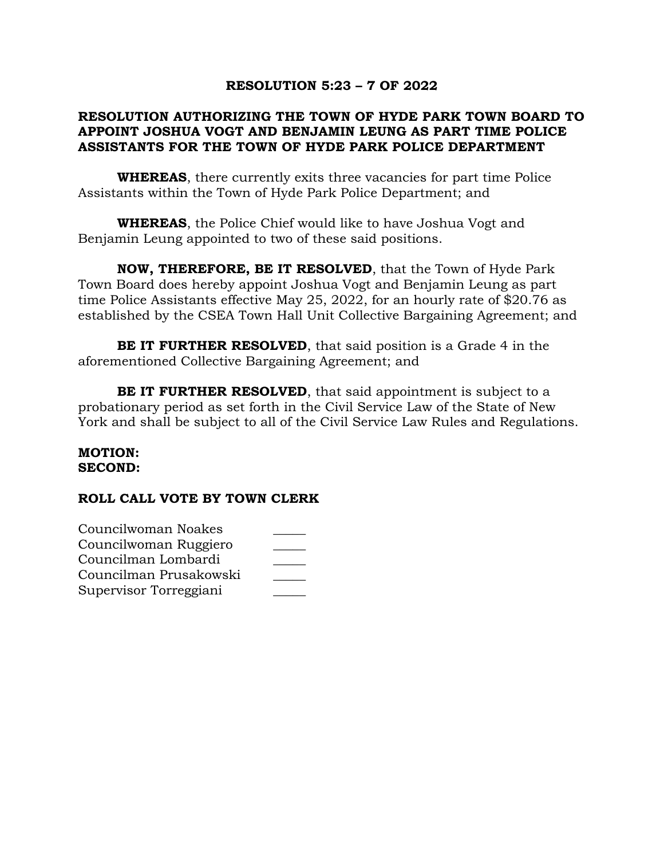# **RESOLUTION 5:23 – 7 OF 2022**

# **RESOLUTION AUTHORIZING THE TOWN OF HYDE PARK TOWN BOARD TO APPOINT JOSHUA VOGT AND BENJAMIN LEUNG AS PART TIME POLICE ASSISTANTS FOR THE TOWN OF HYDE PARK POLICE DEPARTMENT**

**WHEREAS**, there currently exits three vacancies for part time Police Assistants within the Town of Hyde Park Police Department; and

**WHEREAS**, the Police Chief would like to have Joshua Vogt and Benjamin Leung appointed to two of these said positions.

**NOW, THEREFORE, BE IT RESOLVED**, that the Town of Hyde Park Town Board does hereby appoint Joshua Vogt and Benjamin Leung as part time Police Assistants effective May 25, 2022, for an hourly rate of \$20.76 as established by the CSEA Town Hall Unit Collective Bargaining Agreement; and

**BE IT FURTHER RESOLVED**, that said position is a Grade 4 in the aforementioned Collective Bargaining Agreement; and

**BE IT FURTHER RESOLVED**, that said appointment is subject to a probationary period as set forth in the Civil Service Law of the State of New York and shall be subject to all of the Civil Service Law Rules and Regulations.

### **MOTION: SECOND:**

| Councilwoman Noakes    |  |
|------------------------|--|
| Councilwoman Ruggiero  |  |
| Councilman Lombardi    |  |
| Councilman Prusakowski |  |
| Supervisor Torreggiani |  |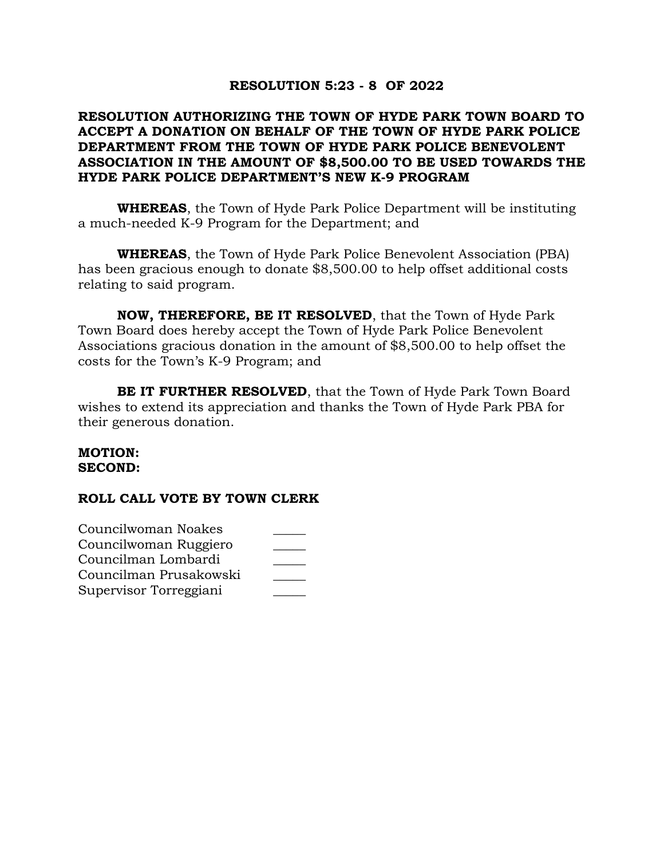# **RESOLUTION 5:23 - 8 OF 2022**

# **RESOLUTION AUTHORIZING THE TOWN OF HYDE PARK TOWN BOARD TO ACCEPT A DONATION ON BEHALF OF THE TOWN OF HYDE PARK POLICE DEPARTMENT FROM THE TOWN OF HYDE PARK POLICE BENEVOLENT ASSOCIATION IN THE AMOUNT OF \$8,500.00 TO BE USED TOWARDS THE HYDE PARK POLICE DEPARTMENT'S NEW K-9 PROGRAM**

**WHEREAS**, the Town of Hyde Park Police Department will be instituting a much-needed K-9 Program for the Department; and

**WHEREAS**, the Town of Hyde Park Police Benevolent Association (PBA) has been gracious enough to donate \$8,500.00 to help offset additional costs relating to said program.

**NOW, THEREFORE, BE IT RESOLVED**, that the Town of Hyde Park Town Board does hereby accept the Town of Hyde Park Police Benevolent Associations gracious donation in the amount of \$8,500.00 to help offset the costs for the Town's K-9 Program; and

**BE IT FURTHER RESOLVED**, that the Town of Hyde Park Town Board wishes to extend its appreciation and thanks the Town of Hyde Park PBA for their generous donation.

### **MOTION: SECOND:**

| Councilwoman Noakes    |  |
|------------------------|--|
| Councilwoman Ruggiero  |  |
| Councilman Lombardi    |  |
| Councilman Prusakowski |  |
| Supervisor Torreggiani |  |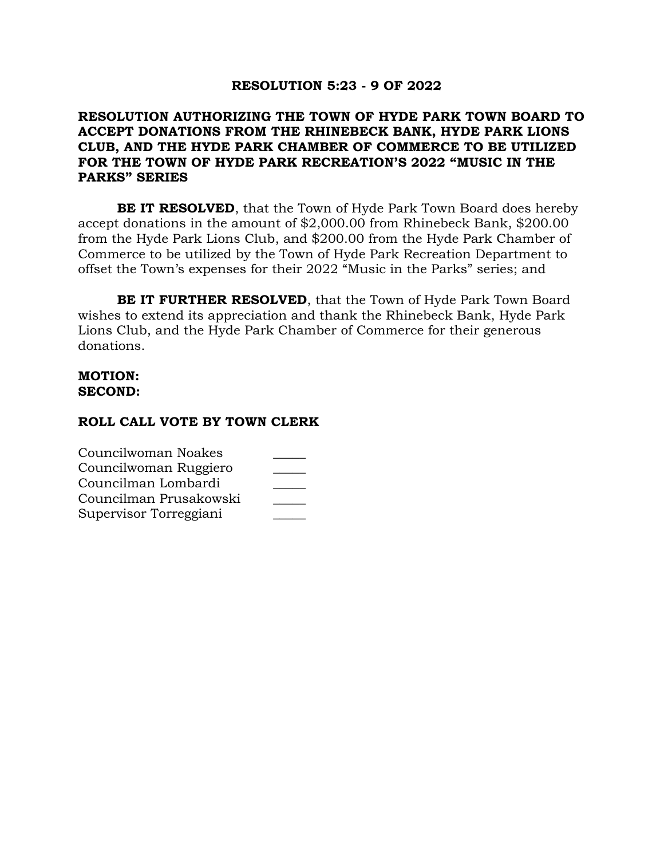## **RESOLUTION 5:23 - 9 OF 2022**

# **RESOLUTION AUTHORIZING THE TOWN OF HYDE PARK TOWN BOARD TO ACCEPT DONATIONS FROM THE RHINEBECK BANK, HYDE PARK LIONS CLUB, AND THE HYDE PARK CHAMBER OF COMMERCE TO BE UTILIZED FOR THE TOWN OF HYDE PARK RECREATION'S 2022 "MUSIC IN THE PARKS" SERIES**

**BE IT RESOLVED**, that the Town of Hyde Park Town Board does hereby accept donations in the amount of \$2,000.00 from Rhinebeck Bank, \$200.00 from the Hyde Park Lions Club, and \$200.00 from the Hyde Park Chamber of Commerce to be utilized by the Town of Hyde Park Recreation Department to offset the Town's expenses for their 2022 "Music in the Parks" series; and

**BE IT FURTHER RESOLVED**, that the Town of Hyde Park Town Board wishes to extend its appreciation and thank the Rhinebeck Bank, Hyde Park Lions Club, and the Hyde Park Chamber of Commerce for their generous donations.

### **MOTION: SECOND:**

| Councilwoman Noakes    |  |
|------------------------|--|
| Councilwoman Ruggiero  |  |
| Councilman Lombardi    |  |
| Councilman Prusakowski |  |
| Supervisor Torreggiani |  |
|                        |  |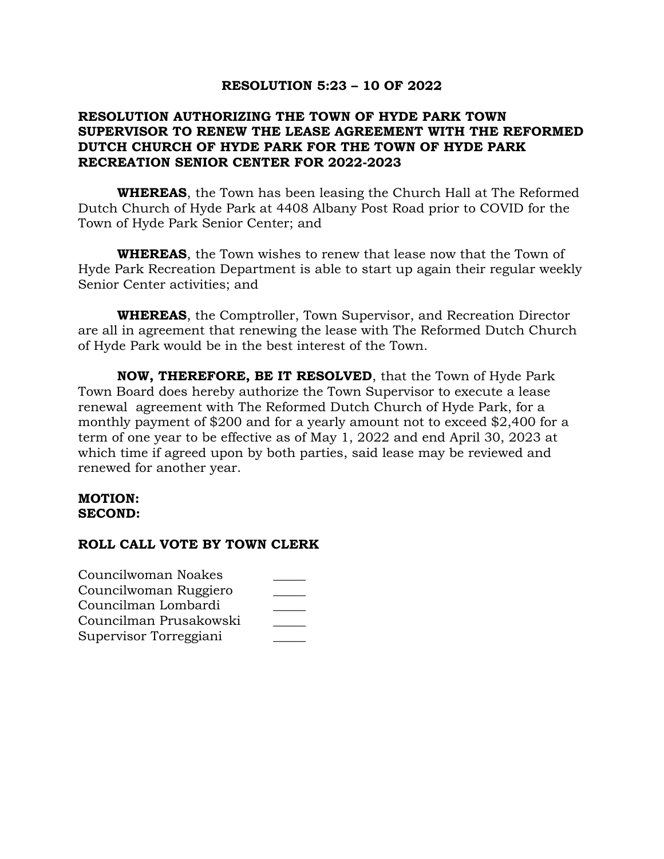## **RESOLUTION 5:23 – 10 OF 2022**

# **RESOLUTION AUTHORIZING THE TOWN OF HYDE PARK TOWN SUPERVISOR TO RENEW THE LEASE AGREEMENT WITH THE REFORMED DUTCH CHURCH OF HYDE PARK FOR THE TOWN OF HYDE PARK RECREATION SENIOR CENTER FOR 2022-2023**

**WHEREAS**, the Town has been leasing the Church Hall at The Reformed Dutch Church of Hyde Park at 4408 Albany Post Road prior to COVID for the Town of Hyde Park Senior Center; and

**WHEREAS**, the Town wishes to renew that lease now that the Town of Hyde Park Recreation Department is able to start up again their regular weekly Senior Center activities; and

**WHEREAS**, the Comptroller, Town Supervisor, and Recreation Director are all in agreement that renewing the lease with The Reformed Dutch Church of Hyde Park would be in the best interest of the Town.

**NOW, THEREFORE, BE IT RESOLVED**, that the Town of Hyde Park Town Board does hereby authorize the Town Supervisor to execute a lease renewal agreement with The Reformed Dutch Church of Hyde Park, for a monthly payment of \$200 and for a yearly amount not to exceed \$2,400 for a term of one year to be effective as of May 1, 2022 and end April 30, 2023 at which time if agreed upon by both parties, said lease may be reviewed and renewed for another year.

### **MOTION: SECOND:**

| Councilwoman Noakes    |  |
|------------------------|--|
| Councilwoman Ruggiero  |  |
| Councilman Lombardi    |  |
| Councilman Prusakowski |  |
| Supervisor Torreggiani |  |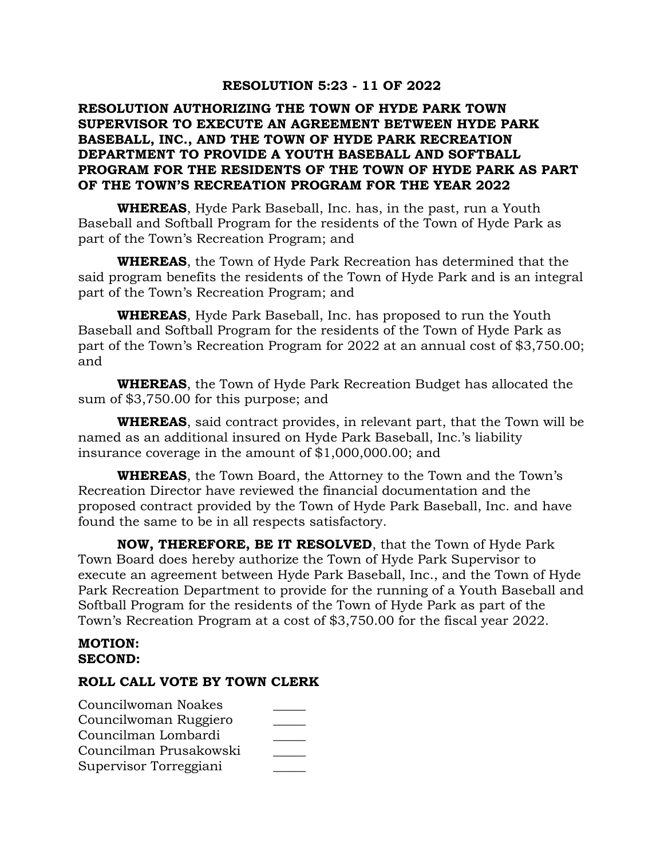## **RESOLUTION 5:23 - 11 OF 2022**

# **RESOLUTION AUTHORIZING THE TOWN OF HYDE PARK TOWN SUPERVISOR TO EXECUTE AN AGREEMENT BETWEEN HYDE PARK BASEBALL, INC., AND THE TOWN OF HYDE PARK RECREATION DEPARTMENT TO PROVIDE A YOUTH BASEBALL AND SOFTBALL PROGRAM FOR THE RESIDENTS OF THE TOWN OF HYDE PARK AS PART OF THE TOWN'S RECREATION PROGRAM FOR THE YEAR 2022**

**WHEREAS**, Hyde Park Baseball, Inc. has, in the past, run a Youth Baseball and Softball Program for the residents of the Town of Hyde Park as part of the Town's Recreation Program; and

**WHEREAS**, the Town of Hyde Park Recreation has determined that the said program benefits the residents of the Town of Hyde Park and is an integral part of the Town's Recreation Program; and

**WHEREAS**, Hyde Park Baseball, Inc. has proposed to run the Youth Baseball and Softball Program for the residents of the Town of Hyde Park as part of the Town's Recreation Program for 2022 at an annual cost of \$3,750.00; and

**WHEREAS**, the Town of Hyde Park Recreation Budget has allocated the sum of \$3,750.00 for this purpose; and

**WHEREAS**, said contract provides, in relevant part, that the Town will be named as an additional insured on Hyde Park Baseball, Inc.'s liability insurance coverage in the amount of \$1,000,000.00; and

**WHEREAS**, the Town Board, the Attorney to the Town and the Town's Recreation Director have reviewed the financial documentation and the proposed contract provided by the Town of Hyde Park Baseball, Inc. and have found the same to be in all respects satisfactory.

**NOW, THEREFORE, BE IT RESOLVED**, that the Town of Hyde Park Town Board does hereby authorize the Town of Hyde Park Supervisor to execute an agreement between Hyde Park Baseball, Inc., and the Town of Hyde Park Recreation Department to provide for the running of a Youth Baseball and Softball Program for the residents of the Town of Hyde Park as part of the Town's Recreation Program at a cost of \$3,750.00 for the fiscal year 2022.

### **MOTION: SECOND:**

| Councilwoman Noakes    |  |
|------------------------|--|
| Councilwoman Ruggiero  |  |
| Councilman Lombardi    |  |
| Councilman Prusakowski |  |
| Supervisor Torreggiani |  |
|                        |  |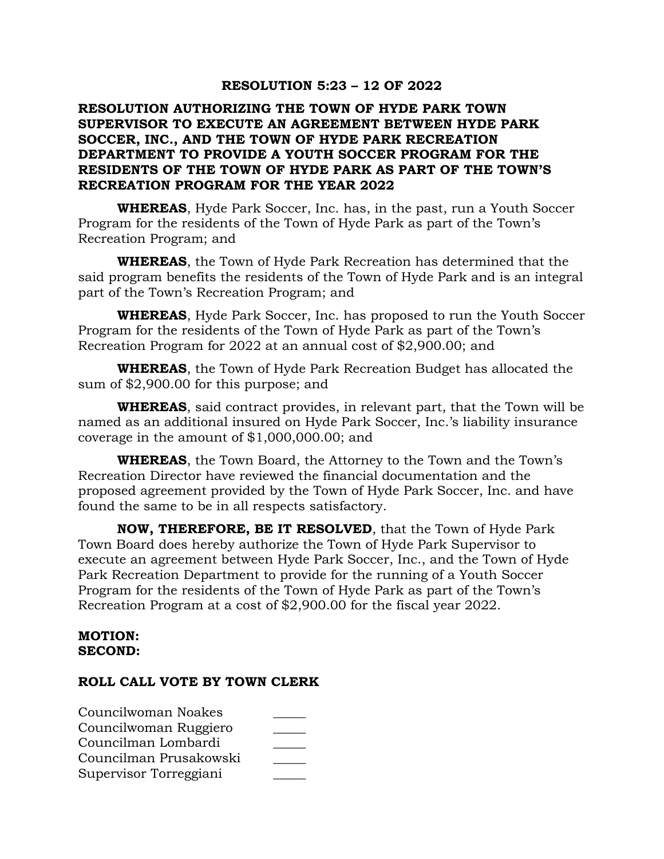## **RESOLUTION 5:23 – 12 OF 2022**

# **RESOLUTION AUTHORIZING THE TOWN OF HYDE PARK TOWN SUPERVISOR TO EXECUTE AN AGREEMENT BETWEEN HYDE PARK SOCCER, INC., AND THE TOWN OF HYDE PARK RECREATION DEPARTMENT TO PROVIDE A YOUTH SOCCER PROGRAM FOR THE RESIDENTS OF THE TOWN OF HYDE PARK AS PART OF THE TOWN'S RECREATION PROGRAM FOR THE YEAR 2022**

**WHEREAS**, Hyde Park Soccer, Inc. has, in the past, run a Youth Soccer Program for the residents of the Town of Hyde Park as part of the Town's Recreation Program; and

**WHEREAS**, the Town of Hyde Park Recreation has determined that the said program benefits the residents of the Town of Hyde Park and is an integral part of the Town's Recreation Program; and

**WHEREAS**, Hyde Park Soccer, Inc. has proposed to run the Youth Soccer Program for the residents of the Town of Hyde Park as part of the Town's Recreation Program for 2022 at an annual cost of \$2,900.00; and

**WHEREAS**, the Town of Hyde Park Recreation Budget has allocated the sum of \$2,900.00 for this purpose; and

**WHEREAS**, said contract provides, in relevant part, that the Town will be named as an additional insured on Hyde Park Soccer, Inc.'s liability insurance coverage in the amount of \$1,000,000.00; and

**WHEREAS**, the Town Board, the Attorney to the Town and the Town's Recreation Director have reviewed the financial documentation and the proposed agreement provided by the Town of Hyde Park Soccer, Inc. and have found the same to be in all respects satisfactory.

**NOW, THEREFORE, BE IT RESOLVED**, that the Town of Hyde Park Town Board does hereby authorize the Town of Hyde Park Supervisor to execute an agreement between Hyde Park Soccer, Inc., and the Town of Hyde Park Recreation Department to provide for the running of a Youth Soccer Program for the residents of the Town of Hyde Park as part of the Town's Recreation Program at a cost of \$2,900.00 for the fiscal year 2022.

### **MOTION: SECOND:**

| Councilwoman Noakes    |  |
|------------------------|--|
| Councilwoman Ruggiero  |  |
| Councilman Lombardi    |  |
| Councilman Prusakowski |  |
| Supervisor Torreggiani |  |